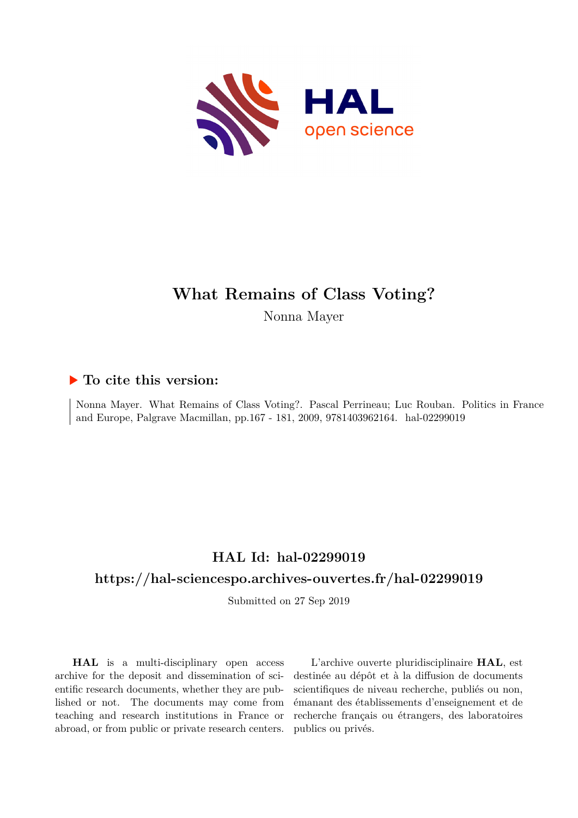

# **What Remains of Class Voting?**

Nonna Mayer

## **To cite this version:**

Nonna Mayer. What Remains of Class Voting?. Pascal Perrineau; Luc Rouban. Politics in France and Europe, Palgrave Macmillan, pp.167 - 181, 2009, 9781403962164. hal-02299019

## **HAL Id: hal-02299019**

## **<https://hal-sciencespo.archives-ouvertes.fr/hal-02299019>**

Submitted on 27 Sep 2019

**HAL** is a multi-disciplinary open access archive for the deposit and dissemination of scientific research documents, whether they are published or not. The documents may come from teaching and research institutions in France or abroad, or from public or private research centers.

L'archive ouverte pluridisciplinaire **HAL**, est destinée au dépôt et à la diffusion de documents scientifiques de niveau recherche, publiés ou non, émanant des établissements d'enseignement et de recherche français ou étrangers, des laboratoires publics ou privés.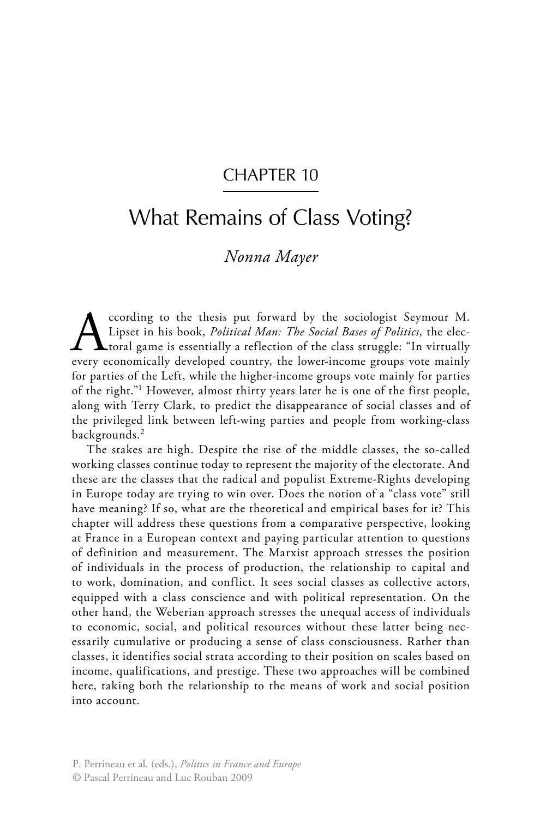### CHAPTER 10

## What Remains of Class Voting?

### *Nonna Mayer*

cording to the thesis put forward by the sociologist Seymour M.<br>Lipset in his book, *Political Man: The Social Bases of Politics*, the electroral game is essentially a reflection of the class struggle: "In virtually<br>every Lipset in his book, *Political Man: The Social Bases of Politics*, the elec-**L**toral game is essentially a reflection of the class struggle: "In virtually every economically developed country, the lower-income groups vote mainly for parties of the Left, while the higher-income groups vote mainly for parties of the right."1 However, almost thirty years later he is one of the first people, along with Terry Clark, to predict the disappearance of social classes and of the privileged link between left-wing parties and people from working-class backgrounds.2

The stakes are high. Despite the rise of the middle classes, the so-called working classes continue today to represent the majority of the electorate. And these are the classes that the radical and populist Extreme-Rights developing in Europe today are trying to win over. Does the notion of a "class vote" still have meaning? If so, what are the theoretical and empirical bases for it? This chapter will address these questions from a comparative perspective, looking at France in a European context and paying particular attention to questions of definition and measurement. The Marxist approach stresses the position of individuals in the process of production, the relationship to capital and to work, domination, and conflict. It sees social classes as collective actors, equipped with a class conscience and with political representation. On the other hand, the Weberian approach stresses the unequal access of individuals to economic, social, and political resources without these latter being necessarily cumulative or producing a sense of class consciousness. Rather than classes, it identifies social strata according to their position on scales based on income, qualifications, and prestige. These two approaches will be combined here, taking both the relationship to the means of work and social position into account.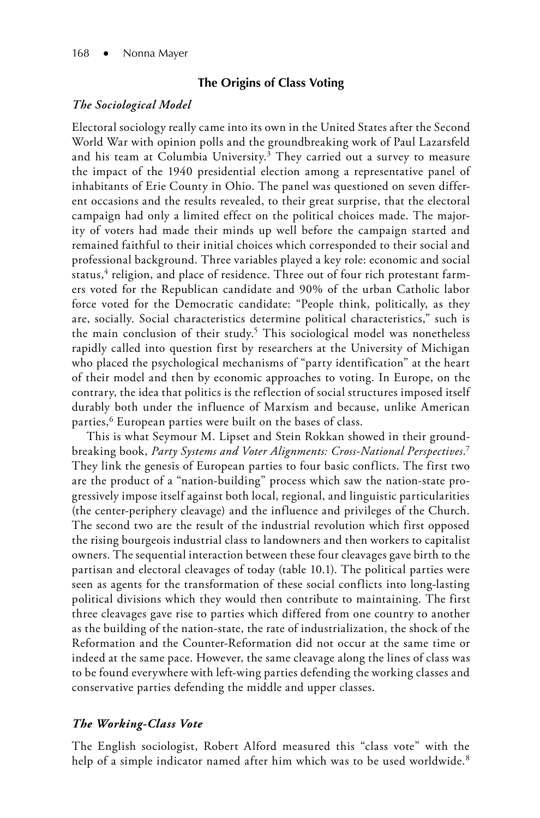#### **The Origins of Class Voting**

#### *The Sociological Model*

Electoral sociology really came into its own in the United States after the Second World War with opinion polls and the groundbreaking work of Paul Lazarsfeld and his team at Columbia University.<sup>3</sup> They carried out a survey to measure the impact of the 1940 presidential election among a representative panel of inhabitants of Erie County in Ohio. The panel was questioned on seven different occasions and the results revealed, to their great surprise, that the electoral campaign had only a limited effect on the political choices made. The majority of voters had made their minds up well before the campaign started and remained faithful to their initial choices which corresponded to their social and professional background. Three variables played a key role: economic and social status,<sup>4</sup> religion, and place of residence. Three out of four rich protestant farmers voted for the Republican candidate and 90% of the urban Catholic labor force voted for the Democratic candidate: "People think, politically, as they are, socially. Social characteristics determine political characteristics," such is the main conclusion of their study.<sup>5</sup> This sociological model was nonetheless rapidly called into question first by researchers at the University of Michigan who placed the psychological mechanisms of "party identification" at the heart of their model and then by economic approaches to voting. In Europe, on the contrary, the idea that politics is the reflection of social structures imposed itself durably both under the influence of Marxism and because, unlike American parties,<sup>6</sup> European parties were built on the bases of class.

This is what Seymour M. Lipset and Stein Rokkan showed in their groundbreaking book, *Party Systems and Voter Alignments: Cross-National Perspectives*. 7 They link the genesis of European parties to four basic conflicts. The first two are the product of a "nation-building" process which saw the nation-state progressively impose itself against both local, regional, and linguistic particularities (the center-periphery cleavage) and the influence and privileges of the Church. The second two are the result of the industrial revolution which first opposed the rising bourgeois industrial class to landowners and then workers to capitalist owners. The sequential interaction between these four cleavages gave birth to the partisan and electoral cleavages of today (table 10.1). The political parties were seen as agents for the transformation of these social conflicts into long-lasting political divisions which they would then contribute to maintaining. The first three cleavages gave rise to parties which differed from one country to another as the building of the nation-state, the rate of industrialization, the shock of the Reformation and the Counter-Reformation did not occur at the same time or indeed at the same pace. However, the same cleavage along the lines of class was to be found everywhere with left-wing parties defending the working classes and conservative parties defending the middle and upper classes.

#### *The Working-Class Vote*

The English sociologist, Robert Alford measured this "class vote" with the help of a simple indicator named after him which was to be used worldwide.<sup>8</sup>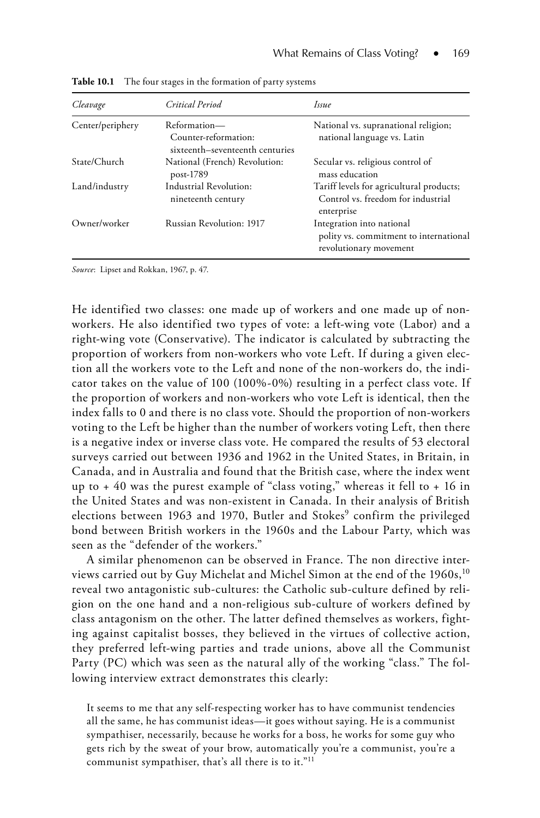| Cleavage         | Critical Period                                                         | <i>Issue</i>                                                                                  |
|------------------|-------------------------------------------------------------------------|-----------------------------------------------------------------------------------------------|
| Center/periphery | Reformation-<br>Counter-reformation:<br>sixteenth-seventeenth centuries | National vs. supranational religion;<br>national language vs. Latin                           |
| State/Church     | National (French) Revolution:<br>post-1789                              | Secular vs. religious control of<br>mass education                                            |
| Land/industry    | Industrial Revolution:<br>nineteenth century                            | Tariff levels for agricultural products;<br>Control vs. freedom for industrial<br>enterprise  |
| Owner/worker     | Russian Revolution: 1917                                                | Integration into national<br>polity vs. commitment to international<br>revolutionary movement |

**Table 10.1** The four stages in the formation of party systems

*Source*: Lipset and Rokkan, 1967, p. 47.

He identified two classes: one made up of workers and one made up of nonworkers. He also identified two types of vote: a left-wing vote (Labor) and a right-wing vote (Conservative). The indicator is calculated by subtracting the proportion of workers from non-workers who vote Left. If during a given election all the workers vote to the Left and none of the non-workers do, the indicator takes on the value of 100 (100%-0%) resulting in a perfect class vote. If the proportion of workers and non-workers who vote Left is identical, then the index falls to 0 and there is no class vote. Should the proportion of non-workers voting to the Left be higher than the number of workers voting Left, then there is a negative index or inverse class vote. He compared the results of 53 electoral surveys carried out between 1936 and 1962 in the United States, in Britain, in Canada, and in Australia and found that the British case, where the index went up to  $+40$  was the purest example of "class voting," whereas it fell to  $+16$  in the United States and was non-existent in Canada. In their analysis of British elections between 1963 and 1970, Butler and Stokes<sup>9</sup> confirm the privileged bond between British workers in the 1960s and the Labour Party, which was seen as the "defender of the workers."

A similar phenomenon can be observed in France. The non directive interviews carried out by Guy Michelat and Michel Simon at the end of the 1960s,<sup>10</sup> reveal two antagonistic sub-cultures: the Catholic sub-culture defined by religion on the one hand and a non-religious sub-culture of workers defined by class antagonism on the other. The latter defined themselves as workers, fighting against capitalist bosses, they believed in the virtues of collective action, they preferred left-wing parties and trade unions, above all the Communist Party (PC) which was seen as the natural ally of the working "class." The following interview extract demonstrates this clearly:

It seems to me that any self-respecting worker has to have communist tendencies all the same, he has communist ideas—it goes without saying. He is a communist sympathiser, necessarily, because he works for a boss, he works for some guy who gets rich by the sweat of your brow, automatically you're a communist, you're a communist sympathiser, that's all there is to it."11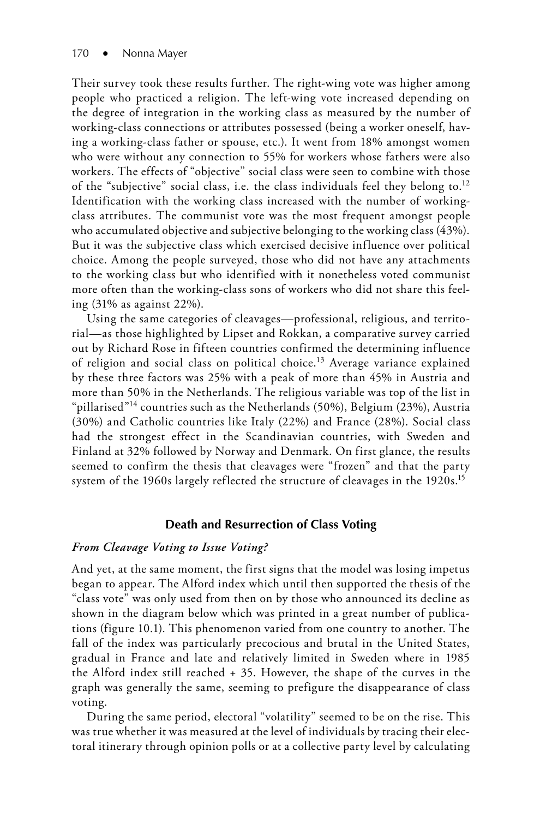Their survey took these results further. The right-wing vote was higher among people who practiced a religion. The left-wing vote increased depending on the degree of integration in the working class as measured by the number of working-class connections or attributes possessed (being a worker oneself, having a working-class father or spouse, etc.). It went from 18% amongst women who were without any connection to 55% for workers whose fathers were also workers. The effects of "objective" social class were seen to combine with those of the "subjective" social class, i.e. the class individuals feel they belong to.<sup>12</sup> Identification with the working class increased with the number of workingclass attributes. The communist vote was the most frequent amongst people who accumulated objective and subjective belonging to the working class (43%). But it was the subjective class which exercised decisive influence over political choice. Among the people surveyed, those who did not have any attachments to the working class but who identified with it nonetheless voted communist more often than the working-class sons of workers who did not share this feeling (31% as against 22%).

Using the same categories of cleavages—professional, religious, and territorial—as those highlighted by Lipset and Rokkan, a comparative survey carried out by Richard Rose in fifteen countries confirmed the determining influence of religion and social class on political choice.<sup>13</sup> Average variance explained by these three factors was 25% with a peak of more than 45% in Austria and more than 50% in the Netherlands. The religious variable was top of the list in "pillarised"<sup>14</sup> countries such as the Netherlands (50%), Belgium (23%), Austria (30%) and Catholic countries like Italy (22%) and France (28%). Social class had the strongest effect in the Scandinavian countries, with Sweden and Finland at 32% followed by Norway and Denmark. On first glance, the results seemed to confirm the thesis that cleavages were "frozen" and that the party system of the 1960s largely reflected the structure of cleavages in the 1920s.<sup>15</sup>

#### **Death and Resurrection of Class Voting**

#### *From Cleavage Voting to Issue Voting?*

And yet, at the same moment, the first signs that the model was losing impetus began to appear. The Alford index which until then supported the thesis of the "class vote" was only used from then on by those who announced its decline as shown in the diagram below which was printed in a great number of publications (figure 10.1). This phenomenon varied from one country to another. The fall of the index was particularly precocious and brutal in the United States, gradual in France and late and relatively limited in Sweden where in 1985 the Alford index still reached + 35. However, the shape of the curves in the graph was generally the same, seeming to prefigure the disappearance of class voting.

During the same period, electoral "volatility" seemed to be on the rise. This was true whether it was measured at the level of individuals by tracing their electoral itinerary through opinion polls or at a collective party level by calculating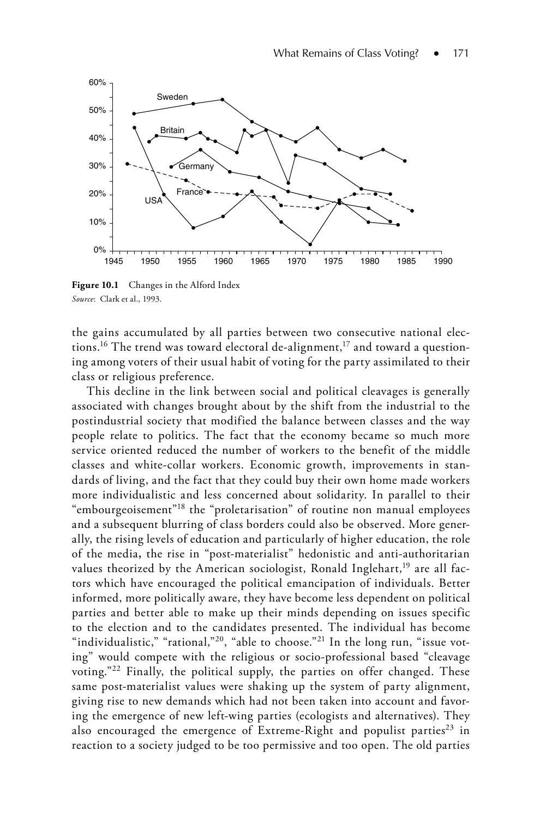

**Figure 10.1** Changes in the Alford Index *Source*: Clark et al., 1993.

the gains accumulated by all parties between two consecutive national elections.<sup>16</sup> The trend was toward electoral de-alignment,<sup>17</sup> and toward a questioning among voters of their usual habit of voting for the party assimilated to their class or religious preference.

This decline in the link between social and political cleavages is generally associated with changes brought about by the shift from the industrial to the postindustrial society that modified the balance between classes and the way people relate to politics. The fact that the economy became so much more service oriented reduced the number of workers to the benefit of the middle classes and white-collar workers. Economic growth, improvements in standards of living, and the fact that they could buy their own home made workers more individualistic and less concerned about solidarity. In parallel to their "embourgeoisement"18 the "proletarisation" of routine non manual employees and a subsequent blurring of class borders could also be observed. More generally, the rising levels of education and particularly of higher education, the role of the media**,** the rise in "post-materialist" hedonistic and anti-authoritarian values theorized by the American sociologist, Ronald Inglehart,<sup>19</sup> are all factors which have encouraged the political emancipation of individuals. Better informed, more politically aware, they have become less dependent on political parties and better able to make up their minds depending on issues specific to the election and to the candidates presented. The individual has become "individualistic," "rational,"<sup>20</sup>, "able to choose."<sup>21</sup> In the long run, "issue voting" would compete with the religious or socio-professional based "cleavage voting."22 Finally, the political supply, the parties on offer changed. These same post-materialist values were shaking up the system of party alignment, giving rise to new demands which had not been taken into account and favoring the emergence of new left-wing parties (ecologists and alternatives). They also encouraged the emergence of Extreme-Right and populist parties<sup>23</sup> in reaction to a society judged to be too permissive and too open. The old parties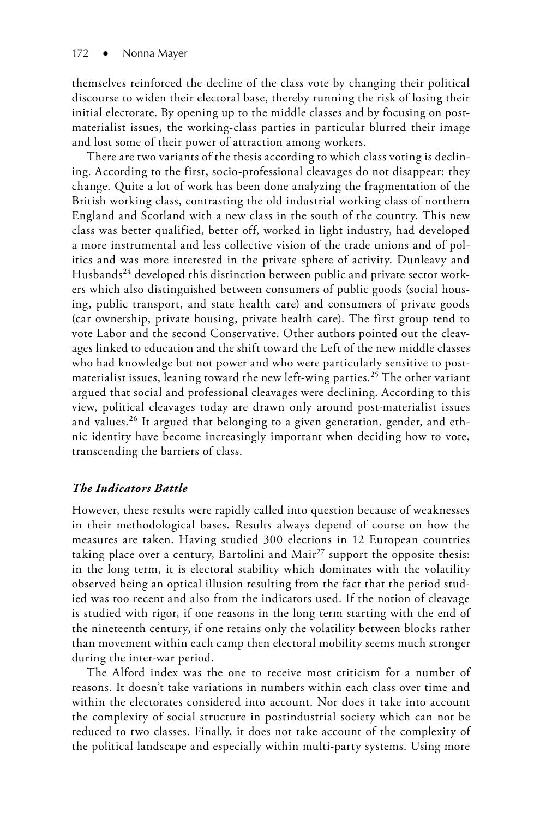themselves reinforced the decline of the class vote by changing their political discourse to widen their electoral base, thereby running the risk of losing their initial electorate. By opening up to the middle classes and by focusing on postmaterialist issues, the working-class parties in particular blurred their image and lost some of their power of attraction among workers.

There are two variants of the thesis according to which class voting is declining. According to the first, socio-professional cleavages do not disappear: they change. Quite a lot of work has been done analyzing the fragmentation of the British working class, contrasting the old industrial working class of northern England and Scotland with a new class in the south of the country. This new class was better qualified, better off, worked in light industry, had developed a more instrumental and less collective vision of the trade unions and of politics and was more interested in the private sphere of activity. Dunleavy and Husbands<sup>24</sup> developed this distinction between public and private sector workers which also distinguished between consumers of public goods (social housing, public transport, and state health care) and consumers of private goods (car ownership, private housing, private health care). The first group tend to vote Labor and the second Conservative. Other authors pointed out the cleavages linked to education and the shift toward the Left of the new middle classes who had knowledge but not power and who were particularly sensitive to postmaterialist issues, leaning toward the new left-wing parties.<sup>25</sup> The other variant argued that social and professional cleavages were declining. According to this view, political cleavages today are drawn only around post-materialist issues and values.<sup>26</sup> It argued that belonging to a given generation, gender, and ethnic identity have become increasingly important when deciding how to vote, transcending the barriers of class.

#### *The Indicators Battle*

However, these results were rapidly called into question because of weaknesses in their methodological bases. Results always depend of course on how the measures are taken. Having studied 300 elections in 12 European countries taking place over a century, Bartolini and Mair<sup>27</sup> support the opposite thesis: in the long term, it is electoral stability which dominates with the volatility observed being an optical illusion resulting from the fact that the period studied was too recent and also from the indicators used. If the notion of cleavage is studied with rigor, if one reasons in the long term starting with the end of the nineteenth century, if one retains only the volatility between blocks rather than movement within each camp then electoral mobility seems much stronger during the inter-war period.

The Alford index was the one to receive most criticism for a number of reasons. It doesn't take variations in numbers within each class over time and within the electorates considered into account. Nor does it take into account the complexity of social structure in postindustrial society which can not be reduced to two classes. Finally, it does not take account of the complexity of the political landscape and especially within multi-party systems. Using more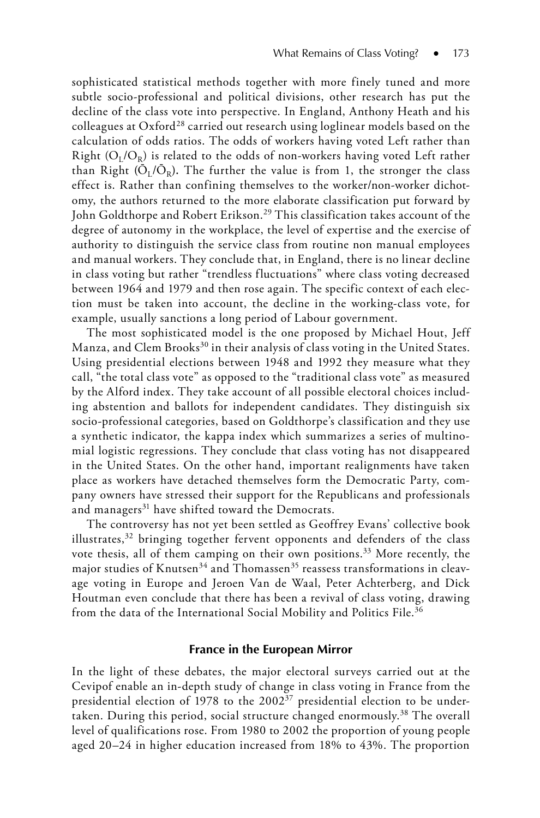sophisticated statistical methods together with more finely tuned and more subtle socio-professional and political divisions, other research has put the decline of the class vote into perspective. In England, Anthony Heath and his colleagues at Oxford<sup>28</sup> carried out research using loglinear models based on the calculation of odds ratios. The odds of workers having voted Left rather than Right  $(O<sub>L</sub>/O<sub>R</sub>)$  is related to the odds of non-workers having voted Left rather than Right  $(\bar{O}_I/\bar{O}_R)$ . The further the value is from 1, the stronger the class effect is. Rather than confining themselves to the worker/non-worker dichotomy, the authors returned to the more elaborate classification put forward by John Goldthorpe and Robert Erikson.<sup>29</sup> This classification takes account of the degree of autonomy in the workplace, the level of expertise and the exercise of authority to distinguish the service class from routine non manual employees and manual workers. They conclude that, in England, there is no linear decline in class voting but rather "trendless fluctuations" where class voting decreased between 1964 and 1979 and then rose again. The specific context of each election must be taken into account, the decline in the working-class vote, for example, usually sanctions a long period of Labour government.

The most sophisticated model is the one proposed by Michael Hout, Jeff Manza, and Clem Brooks<sup>30</sup> in their analysis of class voting in the United States. Using presidential elections between 1948 and 1992 they measure what they call, "the total class vote" as opposed to the "traditional class vote" as measured by the Alford index. They take account of all possible electoral choices including abstention and ballots for independent candidates. They distinguish six socio-professional categories, based on Goldthorpe's classification and they use a synthetic indicator, the kappa index which summarizes a series of multinomial logistic regressions. They conclude that class voting has not disappeared in the United States. On the other hand, important realignments have taken place as workers have detached themselves form the Democratic Party, company owners have stressed their support for the Republicans and professionals and managers<sup>31</sup> have shifted toward the Democrats.

The controversy has not yet been settled as Geoffrey Evans' collective book illustrates, $32$  bringing together fervent opponents and defenders of the class vote thesis, all of them camping on their own positions.<sup>33</sup> More recently, the major studies of Knutsen<sup>34</sup> and Thomassen<sup>35</sup> reassess transformations in cleavage voting in Europe and Jeroen Van de Waal, Peter Achterberg, and Dick Houtman even conclude that there has been a revival of class voting, drawing from the data of the International Social Mobility and Politics File.<sup>36</sup>

#### **France in the European Mirror**

In the light of these debates, the major electoral surveys carried out at the Cevipof enable an in-depth study of change in class voting in France from the presidential election of 1978 to the  $2002^{37}$  presidential election to be undertaken. During this period, social structure changed enormously.<sup>38</sup> The overall level of qualifications rose. From 1980 to 2002 the proportion of young people aged 20–24 in higher education increased from 18% to 43%. The proportion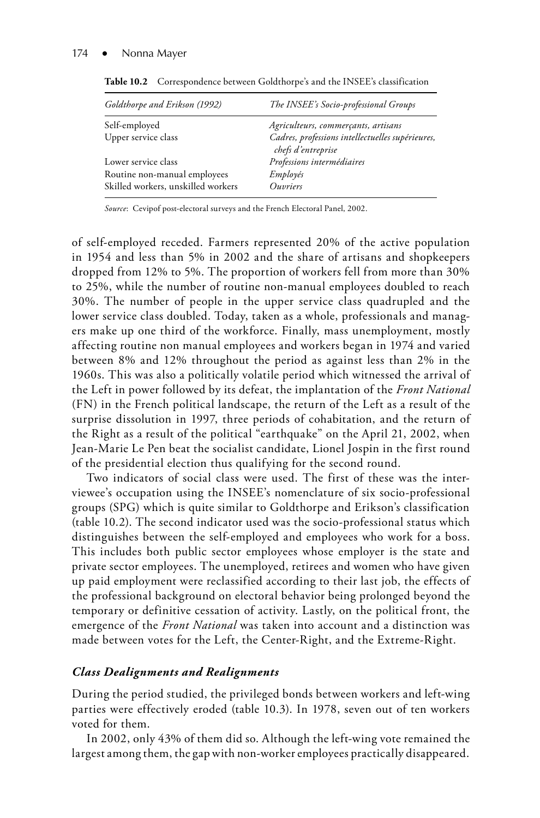#### 174 • Nonna Mayer

| Goldthorpe and Erikson (1992)      | The INSEE's Socio-professional Groups                                  |
|------------------------------------|------------------------------------------------------------------------|
| Self-employed                      | Agriculteurs, commerçants, artisans                                    |
| Upper service class                | Cadres, professions intellectuelles supérieures,<br>chefs d'entreprise |
| Lower service class                | Professions intermédiaires                                             |
| Routine non-manual employees       | Employés                                                               |
| Skilled workers, unskilled workers | <i><u><b>Ouvriers</b></u></i>                                          |

**Table 10.2** Correspondence between Goldthorpe's and the INSEE's classification

*Source*: Cevipof post-electoral surveys and the French Electoral Panel, 2002.

of self-employed receded. Farmers represented 20% of the active population in 1954 and less than 5% in 2002 and the share of artisans and shopkeepers dropped from 12% to 5%. The proportion of workers fell from more than 30% to 25%, while the number of routine non-manual employees doubled to reach 30%. The number of people in the upper service class quadrupled and the lower service class doubled. Today, taken as a whole, professionals and managers make up one third of the workforce. Finally, mass unemployment, mostly affecting routine non manual employees and workers began in 1974 and varied between 8% and 12% throughout the period as against less than 2% in the 1960s. This was also a politically volatile period which witnessed the arrival of the Left in power followed by its defeat, the implantation of the *Front National* (FN) in the French political landscape, the return of the Left as a result of the surprise dissolution in 1997, three periods of cohabitation, and the return of the Right as a result of the political "earthquake" on the April 21, 2002, when Jean-Marie Le Pen beat the socialist candidate, Lionel Jospin in the first round of the presidential election thus qualifying for the second round.

Two indicators of social class were used. The first of these was the interviewee's occupation using the INSEE's nomenclature of six socio-professional groups (SPG) which is quite similar to Goldthorpe and Erikson's classification (table 10.2). The second indicator used was the socio-professional status which distinguishes between the self-employed and employees who work for a boss. This includes both public sector employees whose employer is the state and private sector employees. The unemployed, retirees and women who have given up paid employment were reclassified according to their last job, the effects of the professional background on electoral behavior being prolonged beyond the temporary or definitive cessation of activity. Lastly, on the political front, the emergence of the *Front National* was taken into account and a distinction was made between votes for the Left, the Center-Right, and the Extreme-Right.

#### *Class Dealignments and Realignments*

During the period studied, the privileged bonds between workers and left-wing parties were effectively eroded (table 10.3). In 1978, seven out of ten workers voted for them.

In 2002, only 43% of them did so. Although the left-wing vote remained the largest among them, the gap with non-worker employees practically disappeared.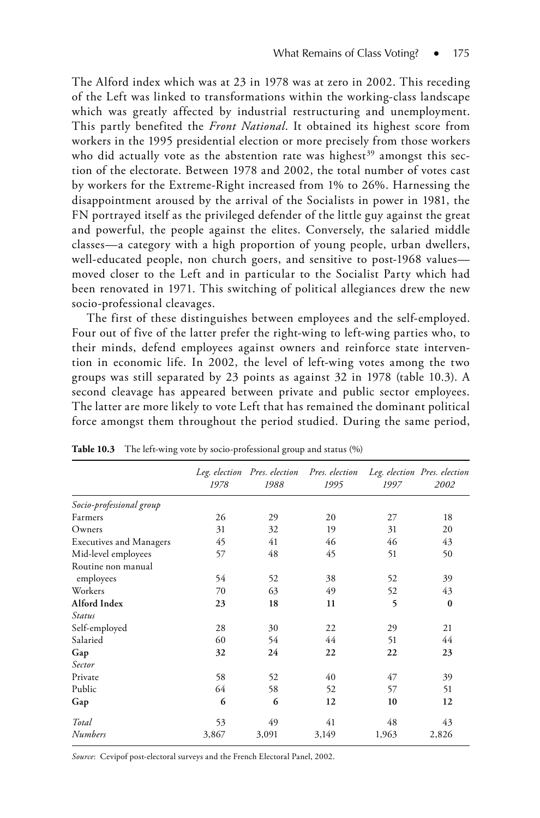The Alford index which was at 23 in 1978 was at zero in 2002. This receding of the Left was linked to transformations within the working-class landscape which was greatly affected by industrial restructuring and unemployment. This partly benefited the *Front National*. It obtained its highest score from workers in the 1995 presidential election or more precisely from those workers who did actually vote as the abstention rate was highest<sup>39</sup> amongst this section of the electorate. Between 1978 and 2002, the total number of votes cast by workers for the Extreme-Right increased from 1% to 26%. Harnessing the disappointment aroused by the arrival of the Socialists in power in 1981, the FN portrayed itself as the privileged defender of the little guy against the great and powerful, the people against the elites. Conversely, the salaried middle classes—a category with a high proportion of young people, urban dwellers, well-educated people, non church goers, and sensitive to post-1968 values moved closer to the Left and in particular to the Socialist Party which had been renovated in 1971. This switching of political allegiances drew the new socio-professional cleavages.

The first of these distinguishes between employees and the self-employed. Four out of five of the latter prefer the right-wing to left-wing parties who, to their minds, defend employees against owners and reinforce state intervention in economic life. In 2002, the level of left-wing votes among the two groups was still separated by 23 points as against 32 in 1978 (table 10.3). A second cleavage has appeared between private and public sector employees. The latter are more likely to vote Left that has remained the dominant political force amongst them throughout the period studied. During the same period,

|                                | 1978  | Leg. election Pres. election Pres. election<br>1988 | 1995  | 1997  | Leg. election Pres. election<br>2002 |
|--------------------------------|-------|-----------------------------------------------------|-------|-------|--------------------------------------|
| Socio-professional group       |       |                                                     |       |       |                                      |
| Farmers                        | 26    | 29                                                  | 20    | 27    | 18                                   |
| Owners                         | 31    | 32                                                  | 19    | 31    | 20                                   |
| <b>Executives and Managers</b> | 45    | 41                                                  | 46    | 46    | 43                                   |
| Mid-level employees            | 57    | 48                                                  | 45    | 51    | 50                                   |
| Routine non manual             |       |                                                     |       |       |                                      |
| employees                      | 54    | 52                                                  | 38    | 52    | 39                                   |
| Workers                        | 70    | 63                                                  | 49    | 52    | 43                                   |
| Alford Index                   | 23    | 18                                                  | 11    | 5     | $\bf{0}$                             |
| Status                         |       |                                                     |       |       |                                      |
| Self-employed                  | 28    | 30                                                  | 22    | 29    | 21                                   |
| Salaried                       | 60    | 54                                                  | 44    | 51    | 44                                   |
| Gap                            | 32    | 24                                                  | 22    | 22    | 23                                   |
| Sector                         |       |                                                     |       |       |                                      |
| Private                        | 58    | 52                                                  | 40    | 47    | 39                                   |
| Public                         | 64    | 58                                                  | 52    | 57    | 51                                   |
| Gap                            | 6     | 6                                                   | 12    | 10    | 12                                   |
| Total                          | 53    | 49                                                  | 41    | 48    | 43                                   |
| <b>Numbers</b>                 | 3,867 | 3,091                                               | 3,149 | 1,963 | 2,826                                |

**Table 10.3** The left-wing vote by socio-professional group and status (%)

*Source*: Cevipof post-electoral surveys and the French Electoral Panel, 2002.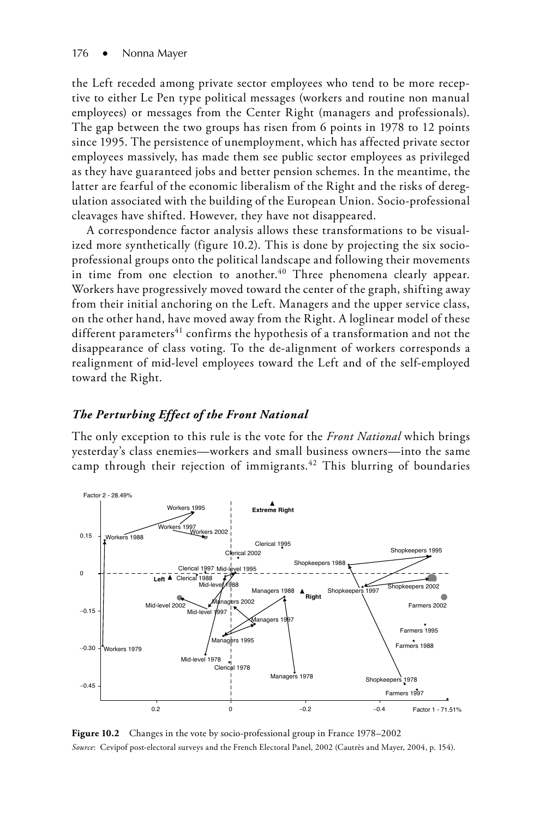the Left receded among private sector employees who tend to be more receptive to either Le Pen type political messages (workers and routine non manual employees) or messages from the Center Right (managers and professionals). The gap between the two groups has risen from 6 points in 1978 to 12 points since 1995. The persistence of unemployment, which has affected private sector employees massively, has made them see public sector employees as privileged as they have guaranteed jobs and better pension schemes. In the meantime, the latter are fearful of the economic liberalism of the Right and the risks of deregulation associated with the building of the European Union. Socio-professional cleavages have shifted. However, they have not disappeared.

A correspondence factor analysis allows these transformations to be visualized more synthetically (figure 10.2). This is done by projecting the six socioprofessional groups onto the political landscape and following their movements in time from one election to another.<sup>40</sup> Three phenomena clearly appear. Workers have progressively moved toward the center of the graph, shifting away from their initial anchoring on the Left. Managers and the upper service class, on the other hand, have moved away from the Right. A loglinear model of these different parameters<sup>41</sup> confirms the hypothesis of a transformation and not the disappearance of class voting. To the de-alignment of workers corresponds a realignment of mid-level employees toward the Left and of the self-employed toward the Right.

#### *The Perturbing Effect of the Front National*

The only exception to this rule is the vote for the *Front National* which brings yesterday's class enemies—workers and small business owners—into the same camp through their rejection of immigrants.<sup>42</sup> This blurring of boundaries



**Figure 10.2** Changes in the vote by socio-professional group in France 1978–2002 *Source*: Cevipof post-electoral surveys and the French Electoral Panel, 2002 (Cautrès and Mayer, 2004, p. 154).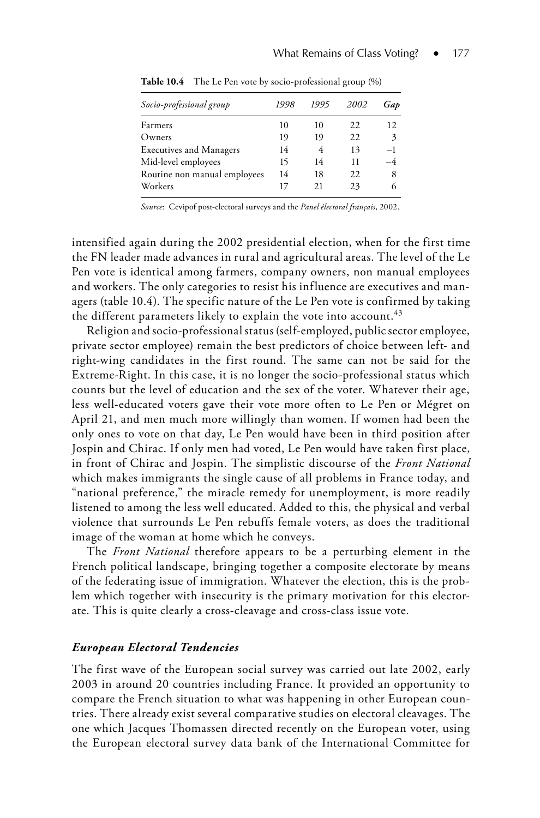| Socio-professional group       | 1998 | 1995 | 2002 | Gap  |
|--------------------------------|------|------|------|------|
| Farmers                        | 10   | 10   | 22.  | 12.  |
| Owners                         | 19   | 19   | 22   | 3    |
| <b>Executives and Managers</b> | 14   | 4    | 13   | $-1$ |
| Mid-level employees            | 15   | 14   | 11   |      |
| Routine non manual employees   | 14   | 18   | 22   | 8    |
| Workers                        |      | 21   | 23   | 6    |

**Table 10.4** The Le Pen vote by socio-professional group (%)

*Source*: Cevipof post-electoral surveys and the *Panel électoral français*, 2002.

intensified again during the 2002 presidential election, when for the first time the FN leader made advances in rural and agricultural areas. The level of the Le Pen vote is identical among farmers, company owners, non manual employees and workers. The only categories to resist his influence are executives and managers (table 10.4). The specific nature of the Le Pen vote is confirmed by taking the different parameters likely to explain the vote into account.<sup>43</sup>

Religion and socio-professional status (self-employed, public sector employee, private sector employee) remain the best predictors of choice between left- and right-wing candidates in the first round. The same can not be said for the Extreme-Right. In this case, it is no longer the socio-professional status which counts but the level of education and the sex of the voter. Whatever their age, less well-educated voters gave their vote more often to Le Pen or Mégret on April 21, and men much more willingly than women. If women had been the only ones to vote on that day, Le Pen would have been in third position after Jospin and Chirac. If only men had voted, Le Pen would have taken first place, in front of Chirac and Jospin. The simplistic discourse of the *Front National* which makes immigrants the single cause of all problems in France today, and "national preference," the miracle remedy for unemployment, is more readily listened to among the less well educated. Added to this, the physical and verbal violence that surrounds Le Pen rebuffs female voters, as does the traditional image of the woman at home which he conveys.

The *Front National* therefore appears to be a perturbing element in the French political landscape, bringing together a composite electorate by means of the federating issue of immigration. Whatever the election, this is the problem which together with insecurity is the primary motivation for this electorate. This is quite clearly a cross-cleavage and cross-class issue vote.

#### *European Electoral Tendencies*

The first wave of the European social survey was carried out late 2002, early 2003 in around 20 countries including France. It provided an opportunity to compare the French situation to what was happening in other European countries. There already exist several comparative studies on electoral cleavages. The one which Jacques Thomassen directed recently on the European voter, using the European electoral survey data bank of the International Committee for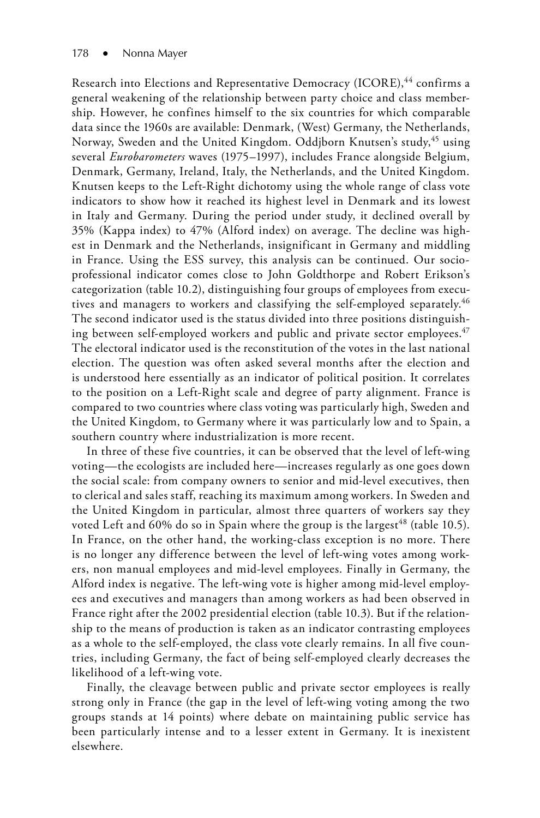Research into Elections and Representative Democracy (ICORE),<sup>44</sup> confirms a general weakening of the relationship between party choice and class membership. However, he confines himself to the six countries for which comparable data since the 1960s are available: Denmark, (West) Germany, the Netherlands, Norway, Sweden and the United Kingdom. Oddjborn Knutsen's study, <sup>45</sup> using several *Eurobarometers* waves (1975–1997), includes France alongside Belgium, Denmark, Germany, Ireland, Italy, the Netherlands, and the United Kingdom. Knutsen keeps to the Left-Right dichotomy using the whole range of class vote indicators to show how it reached its highest level in Denmark and its lowest in Italy and Germany. During the period under study, it declined overall by 35% (Kappa index) to 47% (Alford index) on average. The decline was highest in Denmark and the Netherlands, insignificant in Germany and middling in France. Using the ESS survey, this analysis can be continued. Our socio professional indicator comes close to John Goldthorpe and Robert Erikson's categorization (table 10.2), distinguishing four groups of employees from executives and managers to workers and classifying the self-employed separately.<sup>46</sup> The second indicator used is the status divided into three positions distinguishing between self-employed workers and public and private sector employees. $47$ The electoral indicator used is the reconstitution of the votes in the last national election. The question was often asked several months after the election and is understood here essentially as an indicator of political position. It correlates to the position on a Left-Right scale and degree of party alignment. France is compared to two countries where class voting was particularly high, Sweden and the United Kingdom, to Germany where it was particularly low and to Spain, a southern country where industrialization is more recent.

In three of these five countries, it can be observed that the level of left-wing voting—the ecologists are included here—increases regularly as one goes down the social scale: from company owners to senior and mid-level executives, then to clerical and sales staff, reaching its maximum among workers. In Sweden and the United Kingdom in particular, almost three quarters of workers say they voted Left and 60% do so in Spain where the group is the largest<sup>48</sup> (table 10.5). In France, on the other hand, the working-class exception is no more. There is no longer any difference between the level of left-wing votes among workers, non manual employees and mid-level employees. Finally in Germany, the Alford index is negative. The left-wing vote is higher among mid-level employees and executives and managers than among workers as had been observed in France right after the 2002 presidential election (table 10.3). But if the relationship to the means of production is taken as an indicator contrasting employees as a whole to the self-employed, the class vote clearly remains. In all five countries, including Germany, the fact of being self-employed clearly decreases the likelihood of a left-wing vote.

Finally, the cleavage between public and private sector employees is really strong only in France (the gap in the level of left-wing voting among the two groups stands at 14 points) where debate on maintaining public service has been particularly intense and to a lesser extent in Germany. It is inexistent elsewhere.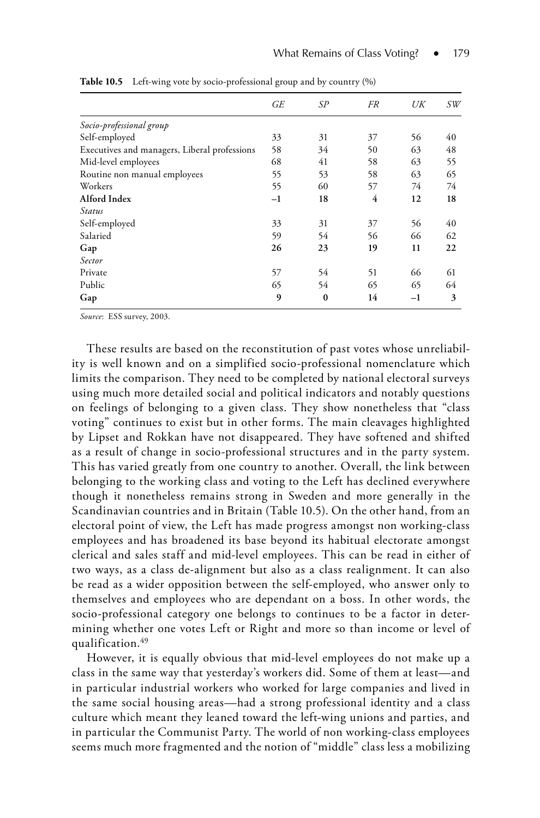|                                              | <b>GE</b> | SP       | FR | UK      | SW |
|----------------------------------------------|-----------|----------|----|---------|----|
| Socio-professional group                     |           |          |    |         |    |
| Self-employed                                | 33        | 31       | 37 | 56      | 40 |
| Executives and managers, Liberal professions | 58        | 34       | 50 | 63      | 48 |
| Mid-level employees                          | 68        | 41       | 58 | 63      | 55 |
| Routine non manual employees                 | 55        | 53       | 58 | 63      | 65 |
| Workers                                      | 55        | 60       | 57 | 74      | 74 |
| Alford Index                                 | $^{-1}$   | 18       | 4  | 12      | 18 |
| Status                                       |           |          |    |         |    |
| Self-employed                                | 33        | 31       | 37 | 56      | 40 |
| Salaried                                     | 59        | 54       | 56 | 66      | 62 |
| Gap                                          | 26        | 23       | 19 | 11      | 22 |
| Sector                                       |           |          |    |         |    |
| Private                                      | 57        | 54       | 51 | 66      | 61 |
| Public                                       | 65        | 54       | 65 | 65      | 64 |
| Gap                                          | 9         | $\bf{0}$ | 14 | $^{-1}$ | 3  |

**Table 10.5** Left-wing vote by socio-professional group and by country (%)

*Source*: ESS survey, 2003.

These results are based on the reconstitution of past votes whose unreliability is well known and on a simplified socio-professional nomenclature which limits the comparison. They need to be completed by national electoral surveys using much more detailed social and political indicators and notably questions on feelings of belonging to a given class. They show nonetheless that "class voting" continues to exist but in other forms. The main cleavages highlighted by Lipset and Rokkan have not disappeared. They have softened and shifted as a result of change in socio-professional structures and in the party system. This has varied greatly from one country to another. Overall, the link between belonging to the working class and voting to the Left has declined everywhere though it nonetheless remains strong in Sweden and more generally in the Scandinavian countries and in Britain (Table 10.5). On the other hand, from an electoral point of view, the Left has made progress amongst non working-class employees and has broadened its base beyond its habitual electorate amongst clerical and sales staff and mid-level employees. This can be read in either of two ways, as a class de-alignment but also as a class realignment. It can also be read as a wider opposition between the self-employed, who answer only to themselves and employees who are dependant on a boss. In other words, the socio-professional category one belongs to continues to be a factor in determining whether one votes Left or Right and more so than income or level of qualification.49

However, it is equally obvious that mid-level employees do not make up a class in the same way that yesterday's workers did. Some of them at least—and in particular industrial workers who worked for large companies and lived in the same social housing areas—had a strong professional identity and a class culture which meant they leaned toward the left-wing unions and parties, and in particular the Communist Party. The world of non working-class employees seems much more fragmented and the notion of "middle" class less a mobilizing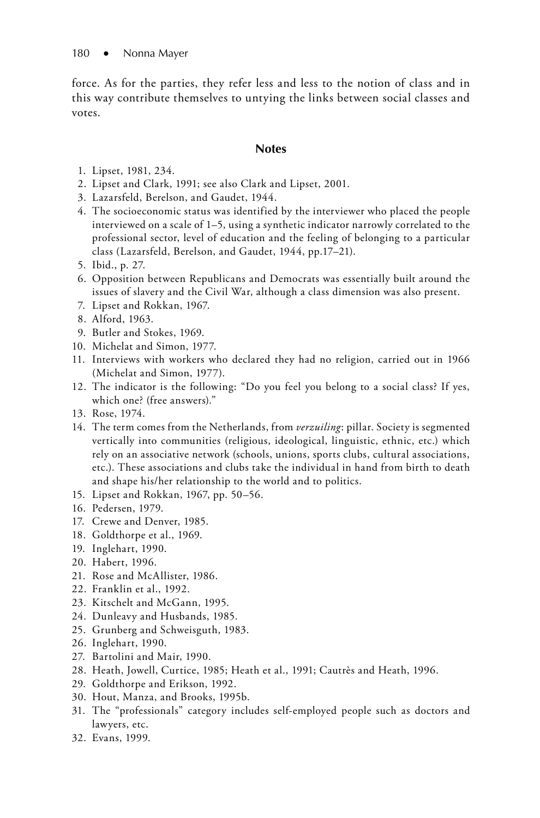force. As for the parties, they refer less and less to the notion of class and in this way contribute themselves to untying the links between social classes and votes.

#### **Notes**

- 1. Lipset, 1981, 234.
- 2. Lipset and Clark, 1991; see also Clark and Lipset, 2001.
- 3. Lazarsfeld, Berelson, and Gaudet, 1944.
- 4. The socioeconomic status was identified by the interviewer who placed the people interviewed on a scale of 1–5, using a synthetic indicator narrowly correlated to the professional sector, level of education and the feeling of belonging to a particular class (Lazarsfeld, Berelson, and Gaudet, 1944, pp.17–21).
- 5. Ibid., p. 27.
- 6. Opposition between Republicans and Democrats was essentially built around the issues of slavery and the Civil War, although a class dimension was also present.
- 7. Lipset and Rokkan, 1967.
- 8. Alford, 1963.
- 9. Butler and Stokes, 1969.
- 10. Michelat and Simon, 1977.
- 11. Interviews with workers who declared they had no religion, carried out in 1966 (Michelat and Simon, 1977).
- 12. The indicator is the following: "Do you feel you belong to a social class? If yes, which one? (free answers)."
- 13. Rose, 1974.
- 14. The term comes from the Netherlands, from *verzuiling*: pillar. Society is segmented vertically into communities (religious, ideological, linguistic, ethnic, etc.) which rely on an associative network (schools, unions, sports clubs, cultural associations, etc.). These associations and clubs take the individual in hand from birth to death and shape his/her relationship to the world and to politics.
- 15. Lipset and Rokkan, 1967, pp. 50–56.
- 16. Pedersen, 1979.
- 17. Crewe and Denver, 1985.
- 18. Goldthorpe et al., 1969.
- 19. Inglehart, 1990.
- 20. Habert, 1996.
- 21. Rose and McAllister, 1986.
- 22. Franklin et al., 1992.
- 23. Kitschelt and McGann, 1995.
- 24. Dunleavy and Husbands, 1985.
- 25. Grunberg and Schweisguth, 1983.
- 26. Inglehart, 1990.
- 27. Bartolini and Mair, 1990.
- 28. Heath, Jowell, Curtice, 1985; Heath et al., 1991; Cautrès and Heath, 1996.
- 29. Goldthorpe and Erikson, 1992.
- 30. Hout, Manza, and Brooks, 1995b.
- 31. The "professionals" category includes self-employed people such as doctors and lawyers, etc.
- 32. Evans, 1999.